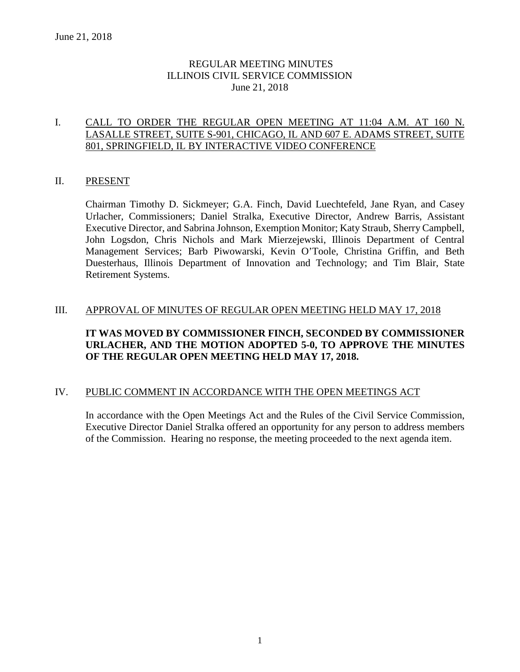# REGULAR MEETING MINUTES ILLINOIS CIVIL SERVICE COMMISSION June 21, 2018

# I. CALL TO ORDER THE REGULAR OPEN MEETING AT 11:04 A.M. AT 160 N. LASALLE STREET, SUITE S-901, CHICAGO, IL AND 607 E. ADAMS STREET, SUITE 801, SPRINGFIELD, IL BY INTERACTIVE VIDEO CONFERENCE

### II. PRESENT

Chairman Timothy D. Sickmeyer; G.A. Finch, David Luechtefeld, Jane Ryan, and Casey Urlacher, Commissioners; Daniel Stralka, Executive Director, Andrew Barris, Assistant Executive Director, and Sabrina Johnson, Exemption Monitor; Katy Straub, Sherry Campbell, John Logsdon, Chris Nichols and Mark Mierzejewski, Illinois Department of Central Management Services; Barb Piwowarski, Kevin O'Toole, Christina Griffin, and Beth Duesterhaus, Illinois Department of Innovation and Technology; and Tim Blair, State Retirement Systems.

# III. APPROVAL OF MINUTES OF REGULAR OPEN MEETING HELD MAY 17, 2018

# **IT WAS MOVED BY COMMISSIONER FINCH, SECONDED BY COMMISSIONER URLACHER, AND THE MOTION ADOPTED 5-0, TO APPROVE THE MINUTES OF THE REGULAR OPEN MEETING HELD MAY 17, 2018.**

### IV. PUBLIC COMMENT IN ACCORDANCE WITH THE OPEN MEETINGS ACT

In accordance with the Open Meetings Act and the Rules of the Civil Service Commission, Executive Director Daniel Stralka offered an opportunity for any person to address members of the Commission. Hearing no response, the meeting proceeded to the next agenda item.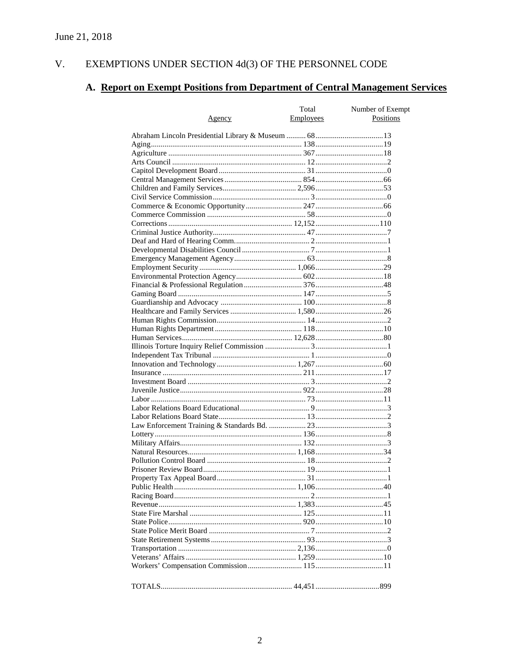#### EXEMPTIONS UNDER SECTION  $4d(3)$  OF THE PERSONNEL CODE V.

# A. Report on Exempt Positions from Department of Central Management Services

|               | Total     | Number of Exempt |
|---------------|-----------|------------------|
| <u>Agency</u> | Employees | Positions        |
|               |           |                  |
|               |           |                  |
|               |           |                  |
|               |           |                  |
|               |           |                  |
|               |           |                  |
|               |           |                  |
|               |           |                  |
|               |           |                  |
|               |           |                  |
|               |           |                  |
|               |           |                  |
|               |           |                  |
|               |           |                  |
|               |           |                  |
|               |           |                  |
|               |           |                  |
|               |           |                  |
|               |           |                  |
|               |           |                  |
|               |           |                  |
|               |           |                  |
|               |           |                  |
|               |           |                  |
|               |           |                  |
|               |           |                  |
|               |           |                  |
|               |           |                  |
|               |           |                  |
|               |           |                  |
|               |           |                  |
|               |           |                  |
|               |           |                  |
|               |           |                  |
|               |           |                  |
|               |           |                  |
|               |           |                  |
|               |           |                  |
|               |           |                  |
|               |           |                  |
|               |           |                  |
|               |           |                  |
|               |           |                  |
|               |           |                  |
|               |           |                  |
|               |           |                  |
|               |           |                  |
|               |           |                  |
|               |           |                  |
|               |           |                  |
|               |           |                  |
|               |           |                  |
|               |           |                  |
|               |           |                  |
|               |           |                  |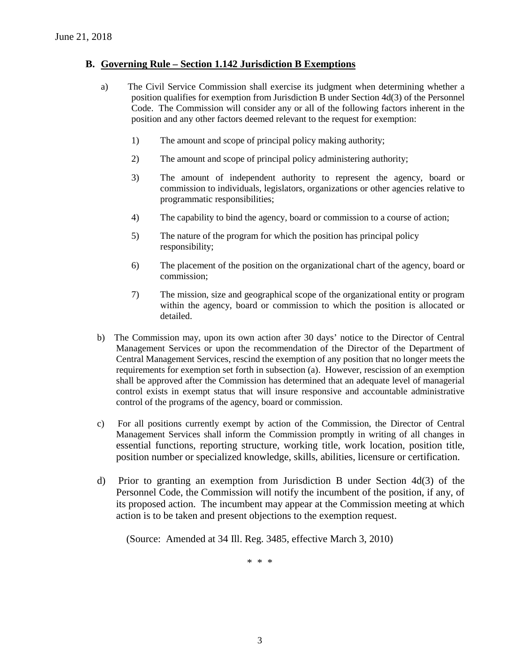# **B. Governing Rule – Section 1.142 Jurisdiction B Exemptions**

- a) The Civil Service Commission shall exercise its judgment when determining whether a position qualifies for exemption from Jurisdiction B under Section 4d(3) of the Personnel Code. The Commission will consider any or all of the following factors inherent in the position and any other factors deemed relevant to the request for exemption:
	- 1) The amount and scope of principal policy making authority;
	- 2) The amount and scope of principal policy administering authority;
	- 3) The amount of independent authority to represent the agency, board or commission to individuals, legislators, organizations or other agencies relative to programmatic responsibilities;
	- 4) The capability to bind the agency, board or commission to a course of action;
	- 5) The nature of the program for which the position has principal policy responsibility;
	- 6) The placement of the position on the organizational chart of the agency, board or commission;
	- 7) The mission, size and geographical scope of the organizational entity or program within the agency, board or commission to which the position is allocated or detailed.
- b) The Commission may, upon its own action after 30 days' notice to the Director of Central Management Services or upon the recommendation of the Director of the Department of Central Management Services, rescind the exemption of any position that no longer meets the requirements for exemption set forth in subsection (a). However, rescission of an exemption shall be approved after the Commission has determined that an adequate level of managerial control exists in exempt status that will insure responsive and accountable administrative control of the programs of the agency, board or commission.
- c) For all positions currently exempt by action of the Commission, the Director of Central Management Services shall inform the Commission promptly in writing of all changes in essential functions, reporting structure, working title, work location, position title, position number or specialized knowledge, skills, abilities, licensure or certification.
- d) Prior to granting an exemption from Jurisdiction B under Section 4d(3) of the Personnel Code, the Commission will notify the incumbent of the position, if any, of its proposed action. The incumbent may appear at the Commission meeting at which action is to be taken and present objections to the exemption request.

(Source: Amended at 34 Ill. Reg. 3485, effective March 3, 2010)

\* \* \*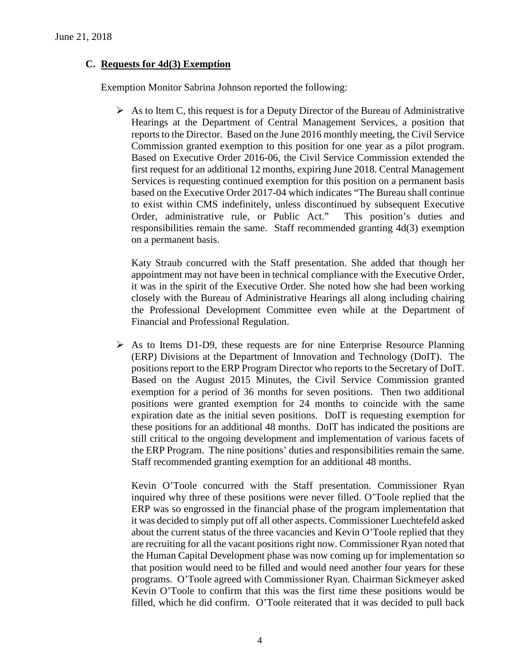# **C. Requests for 4d(3) Exemption**

Exemption Monitor Sabrina Johnson reported the following:

 $\triangleright$  As to Item C, this request is for a Deputy Director of the Bureau of Administrative Hearings at the Department of Central Management Services, a position that reports to the Director. Based on the June 2016 monthly meeting, the Civil Service Commission granted exemption to this position for one year as a pilot program. Based on Executive Order 2016-06, the Civil Service Commission extended the first request for an additional 12 months, expiring June 2018. Central Management Services is requesting continued exemption for this position on a permanent basis based on the Executive Order 2017-04 which indicates "The Bureau shall continue to exist within CMS indefinitely, unless discontinued by subsequent Executive Order, administrative rule, or Public Act." This position's duties and responsibilities remain the same. Staff recommended granting 4d(3) exemption on a permanent basis.

Katy Straub concurred with the Staff presentation. She added that though her appointment may not have been in technical compliance with the Executive Order, it was in the spirit of the Executive Order. She noted how she had been working closely with the Bureau of Administrative Hearings all along including chairing the Professional Development Committee even while at the Department of Financial and Professional Regulation.

 $\triangleright$  As to Items D1-D9, these requests are for nine Enterprise Resource Planning (ERP) Divisions at the Department of Innovation and Technology (DoIT). The positions report to the ERP Program Director who reports to the Secretary of DoIT. Based on the August 2015 Minutes, the Civil Service Commission granted exemption for a period of 36 months for seven positions. Then two additional positions were granted exemption for 24 months to coincide with the same expiration date as the initial seven positions. DoIT is requesting exemption for these positions for an additional 48 months. DoIT has indicated the positions are still critical to the ongoing development and implementation of various facets of the ERP Program. The nine positions' duties and responsibilities remain the same. Staff recommended granting exemption for an additional 48 months.

Kevin O'Toole concurred with the Staff presentation. Commissioner Ryan inquired why three of these positions were never filled. O'Toole replied that the ERP was so engrossed in the financial phase of the program implementation that it was decided to simply put off all other aspects. Commissioner Luechtefeld asked about the current status of the three vacancies and Kevin O'Toole replied that they are recruiting for all the vacant positions right now. Commissioner Ryan noted that the Human Capital Development phase was now coming up for implementation so that position would need to be filled and would need another four years for these programs. O'Toole agreed with Commissioner Ryan. Chairman Sickmeyer asked Kevin O'Toole to confirm that this was the first time these positions would be filled, which he did confirm. O'Toole reiterated that it was decided to pull back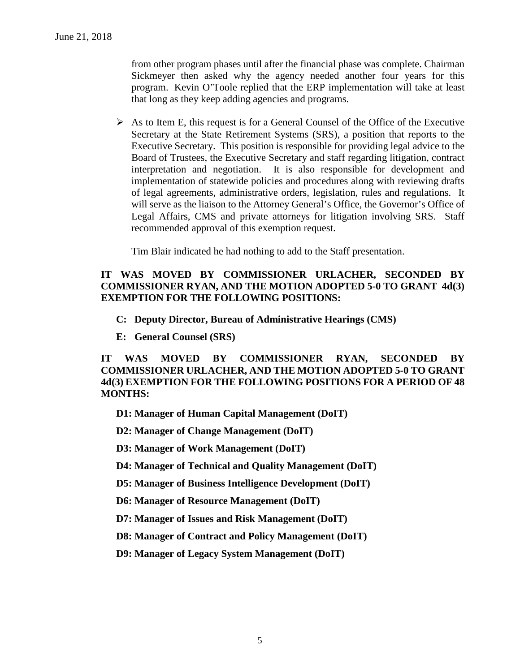from other program phases until after the financial phase was complete. Chairman Sickmeyer then asked why the agency needed another four years for this program. Kevin O'Toole replied that the ERP implementation will take at least that long as they keep adding agencies and programs.

 $\triangleright$  As to Item E, this request is for a General Counsel of the Office of the Executive Secretary at the State Retirement Systems (SRS), a position that reports to the Executive Secretary. This position is responsible for providing legal advice to the Board of Trustees, the Executive Secretary and staff regarding litigation, contract interpretation and negotiation. It is also responsible for development and implementation of statewide policies and procedures along with reviewing drafts of legal agreements, administrative orders, legislation, rules and regulations. It will serve as the liaison to the Attorney General's Office, the Governor's Office of Legal Affairs, CMS and private attorneys for litigation involving SRS. Staff recommended approval of this exemption request.

Tim Blair indicated he had nothing to add to the Staff presentation.

# **IT WAS MOVED BY COMMISSIONER URLACHER, SECONDED BY COMMISSIONER RYAN, AND THE MOTION ADOPTED 5-0 TO GRANT 4d(3) EXEMPTION FOR THE FOLLOWING POSITIONS:**

- **C: Deputy Director, Bureau of Administrative Hearings (CMS)**
- **E: General Counsel (SRS)**

**IT WAS MOVED BY COMMISSIONER RYAN, SECONDED BY COMMISSIONER URLACHER, AND THE MOTION ADOPTED 5-0 TO GRANT 4d(3) EXEMPTION FOR THE FOLLOWING POSITIONS FOR A PERIOD OF 48 MONTHS:**

**D1: Manager of Human Capital Management (DoIT)**

**D2: Manager of Change Management (DoIT)**

**D3: Manager of Work Management (DoIT)**

**D4: Manager of Technical and Quality Management (DoIT)**

**D5: Manager of Business Intelligence Development (DoIT)**

**D6: Manager of Resource Management (DoIT)**

**D7: Manager of Issues and Risk Management (DoIT)**

**D8: Manager of Contract and Policy Management (DoIT)**

**D9: Manager of Legacy System Management (DoIT)**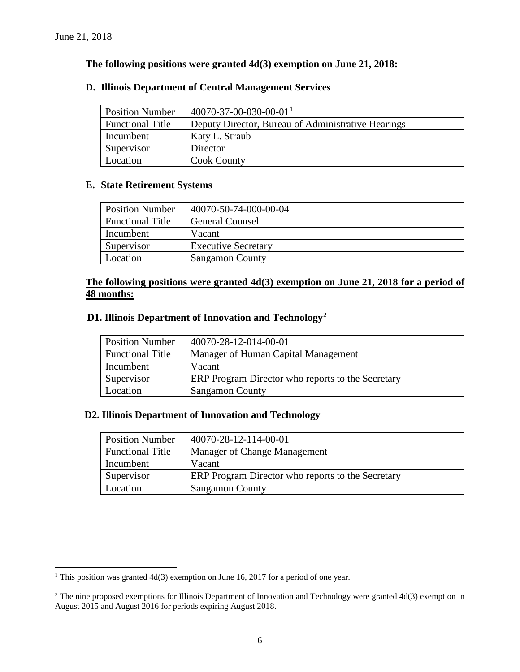# **The following positions were granted 4d(3) exemption on June 21, 2018:**

#### **D. Illinois Department of Central Management Services**

| <b>Position Number</b>  | $40070 - 37 - 00 - 030 - 00 - 01$ <sup>1</sup>     |
|-------------------------|----------------------------------------------------|
| <b>Functional Title</b> | Deputy Director, Bureau of Administrative Hearings |
| Incumbent               | Katy L. Straub                                     |
| Supervisor              | Director                                           |
| Location                | <b>Cook County</b>                                 |

#### **E. State Retirement Systems**

| <b>Position Number</b>  | 40070-50-74-000-00-04      |
|-------------------------|----------------------------|
| <b>Functional Title</b> | <b>General Counsel</b>     |
| Incumbent               | Vacant                     |
| Supervisor              | <b>Executive Secretary</b> |
| Location                | <b>Sangamon County</b>     |

### **The following positions were granted 4d(3) exemption on June 21, 2018 for a period of 48 months:**

#### **D1. Illinois Department of Innovation and Technology[2](#page-5-1)**

| <b>Position Number</b>  | 40070-28-12-014-00-01                             |
|-------------------------|---------------------------------------------------|
| <b>Functional Title</b> | Manager of Human Capital Management               |
| Incumbent               | Vacant                                            |
| Supervisor              | ERP Program Director who reports to the Secretary |
| Location                | <b>Sangamon County</b>                            |

### **D2. Illinois Department of Innovation and Technology**

| <b>Position Number</b>  | 40070-28-12-114-00-01                             |
|-------------------------|---------------------------------------------------|
| <b>Functional Title</b> | Manager of Change Management                      |
| Incumbent               | Vacant                                            |
| Supervisor              | ERP Program Director who reports to the Secretary |
| Location                | <b>Sangamon County</b>                            |

<span id="page-5-0"></span><sup>&</sup>lt;sup>1</sup> This position was granted  $4d(3)$  exemption on June 16, 2017 for a period of one year.

<span id="page-5-1"></span> $2$  The nine proposed exemptions for Illinois Department of Innovation and Technology were granted 4d(3) exemption in August 2015 and August 2016 for periods expiring August 2018.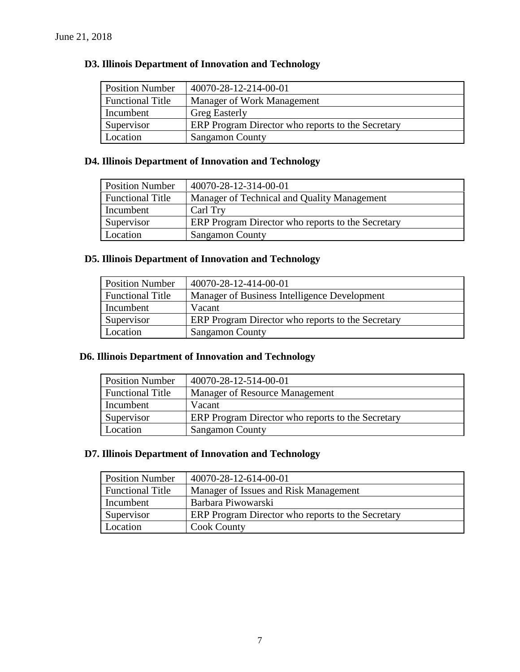# **D3. Illinois Department of Innovation and Technology**

| <b>Position Number</b>  | 40070-28-12-214-00-01                             |
|-------------------------|---------------------------------------------------|
| <b>Functional Title</b> | Manager of Work Management                        |
| Incumbent               | <b>Greg Easterly</b>                              |
| Supervisor              | ERP Program Director who reports to the Secretary |
| Location                | <b>Sangamon County</b>                            |

# **D4. Illinois Department of Innovation and Technology**

| <b>Position Number</b>  | 40070-28-12-314-00-01                             |
|-------------------------|---------------------------------------------------|
| <b>Functional Title</b> | Manager of Technical and Quality Management       |
| Incumbent               | Carl Try                                          |
| Supervisor              | ERP Program Director who reports to the Secretary |
| Location                | <b>Sangamon County</b>                            |

# **D5. Illinois Department of Innovation and Technology**

| <b>Position Number</b>  | 40070-28-12-414-00-01                             |
|-------------------------|---------------------------------------------------|
| <b>Functional Title</b> | Manager of Business Intelligence Development      |
| Incumbent               | Vacant                                            |
| Supervisor              | ERP Program Director who reports to the Secretary |
| Location                | <b>Sangamon County</b>                            |

### **D6. Illinois Department of Innovation and Technology**

| <b>Position Number</b>  | 40070-28-12-514-00-01                             |
|-------------------------|---------------------------------------------------|
| <b>Functional Title</b> | Manager of Resource Management                    |
| Incumbent               | Vacant                                            |
| Supervisor              | ERP Program Director who reports to the Secretary |
| Location                | <b>Sangamon County</b>                            |

# **D7. Illinois Department of Innovation and Technology**

| <b>Position Number</b>  | 40070-28-12-614-00-01                             |
|-------------------------|---------------------------------------------------|
| <b>Functional Title</b> | Manager of Issues and Risk Management             |
| Incumbent               | Barbara Piwowarski                                |
| Supervisor              | ERP Program Director who reports to the Secretary |
| Location                | <b>Cook County</b>                                |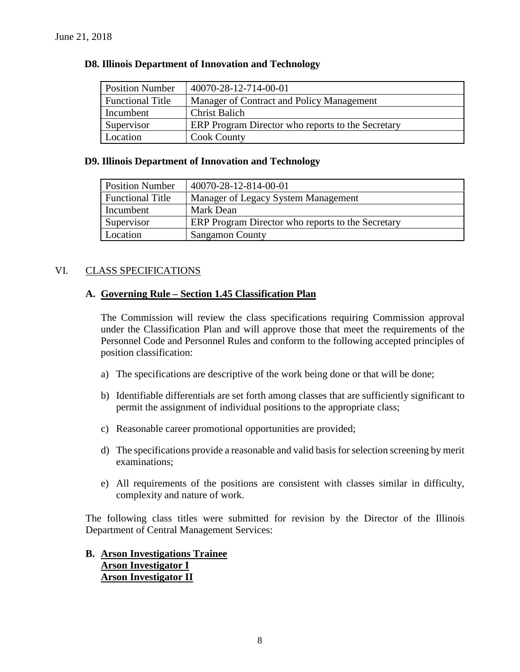| <b>Position Number</b>  | 40070-28-12-714-00-01                             |
|-------------------------|---------------------------------------------------|
| <b>Functional Title</b> | Manager of Contract and Policy Management         |
| Incumbent               | <b>Christ Balich</b>                              |
| Supervisor              | ERP Program Director who reports to the Secretary |
| Location                | <b>Cook County</b>                                |

#### **D8. Illinois Department of Innovation and Technology**

#### **D9. Illinois Department of Innovation and Technology**

| <b>Position Number</b>  | 40070-28-12-814-00-01                             |
|-------------------------|---------------------------------------------------|
| <b>Functional Title</b> | Manager of Legacy System Management               |
| Incumbent               | Mark Dean                                         |
| Supervisor              | ERP Program Director who reports to the Secretary |
| Location                | <b>Sangamon County</b>                            |

# VI. CLASS SPECIFICATIONS

### **A. Governing Rule – Section 1.45 Classification Plan**

The Commission will review the class specifications requiring Commission approval under the Classification Plan and will approve those that meet the requirements of the Personnel Code and Personnel Rules and conform to the following accepted principles of position classification:

- a) The specifications are descriptive of the work being done or that will be done;
- b) Identifiable differentials are set forth among classes that are sufficiently significant to permit the assignment of individual positions to the appropriate class;
- c) Reasonable career promotional opportunities are provided;
- d) The specifications provide a reasonable and valid basis for selection screening by merit examinations;
- e) All requirements of the positions are consistent with classes similar in difficulty, complexity and nature of work.

The following class titles were submitted for revision by the Director of the Illinois Department of Central Management Services:

# **B. Arson Investigations Trainee Arson Investigator I Arson Investigator II**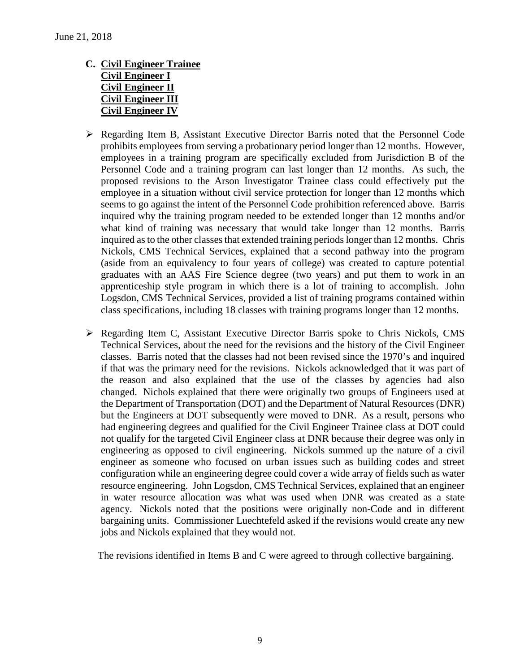- **C. Civil Engineer Trainee Civil Engineer I Civil Engineer II Civil Engineer III Civil Engineer IV**
- Regarding Item B, Assistant Executive Director Barris noted that the Personnel Code prohibits employees from serving a probationary period longer than 12 months. However, employees in a training program are specifically excluded from Jurisdiction B of the Personnel Code and a training program can last longer than 12 months. As such, the proposed revisions to the Arson Investigator Trainee class could effectively put the employee in a situation without civil service protection for longer than 12 months which seems to go against the intent of the Personnel Code prohibition referenced above. Barris inquired why the training program needed to be extended longer than 12 months and/or what kind of training was necessary that would take longer than 12 months. Barris inquired as to the other classes that extended training periods longer than 12 months. Chris Nickols, CMS Technical Services, explained that a second pathway into the program (aside from an equivalency to four years of college) was created to capture potential graduates with an AAS Fire Science degree (two years) and put them to work in an apprenticeship style program in which there is a lot of training to accomplish. John Logsdon, CMS Technical Services, provided a list of training programs contained within class specifications, including 18 classes with training programs longer than 12 months.
- $\triangleright$  Regarding Item C, Assistant Executive Director Barris spoke to Chris Nickols, CMS Technical Services, about the need for the revisions and the history of the Civil Engineer classes. Barris noted that the classes had not been revised since the 1970's and inquired if that was the primary need for the revisions. Nickols acknowledged that it was part of the reason and also explained that the use of the classes by agencies had also changed. Nichols explained that there were originally two groups of Engineers used at the Department of Transportation (DOT) and the Department of Natural Resources (DNR) but the Engineers at DOT subsequently were moved to DNR. As a result, persons who had engineering degrees and qualified for the Civil Engineer Trainee class at DOT could not qualify for the targeted Civil Engineer class at DNR because their degree was only in engineering as opposed to civil engineering. Nickols summed up the nature of a civil engineer as someone who focused on urban issues such as building codes and street configuration while an engineering degree could cover a wide array of fields such as water resource engineering. John Logsdon, CMS Technical Services, explained that an engineer in water resource allocation was what was used when DNR was created as a state agency. Nickols noted that the positions were originally non-Code and in different bargaining units. Commissioner Luechtefeld asked if the revisions would create any new jobs and Nickols explained that they would not.

The revisions identified in Items B and C were agreed to through collective bargaining.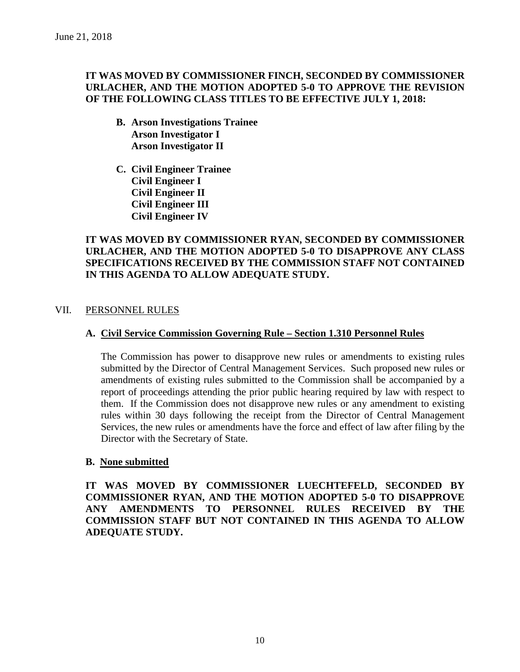# **IT WAS MOVED BY COMMISSIONER FINCH, SECONDED BY COMMISSIONER URLACHER, AND THE MOTION ADOPTED 5-0 TO APPROVE THE REVISION OF THE FOLLOWING CLASS TITLES TO BE EFFECTIVE JULY 1, 2018:**

- **B. Arson Investigations Trainee Arson Investigator I Arson Investigator II**
- **C. Civil Engineer Trainee Civil Engineer I Civil Engineer II Civil Engineer III Civil Engineer IV**

# **IT WAS MOVED BY COMMISSIONER RYAN, SECONDED BY COMMISSIONER URLACHER, AND THE MOTION ADOPTED 5-0 TO DISAPPROVE ANY CLASS SPECIFICATIONS RECEIVED BY THE COMMISSION STAFF NOT CONTAINED IN THIS AGENDA TO ALLOW ADEQUATE STUDY.**

# VII. PERSONNEL RULES

# **A. Civil Service Commission Governing Rule – Section 1.310 Personnel Rules**

The Commission has power to disapprove new rules or amendments to existing rules submitted by the Director of Central Management Services. Such proposed new rules or amendments of existing rules submitted to the Commission shall be accompanied by a report of proceedings attending the prior public hearing required by law with respect to them. If the Commission does not disapprove new rules or any amendment to existing rules within 30 days following the receipt from the Director of Central Management Services, the new rules or amendments have the force and effect of law after filing by the Director with the Secretary of State.

### **B. None submitted**

**IT WAS MOVED BY COMMISSIONER LUECHTEFELD, SECONDED BY COMMISSIONER RYAN, AND THE MOTION ADOPTED 5-0 TO DISAPPROVE ANY AMENDMENTS TO PERSONNEL RULES RECEIVED BY THE COMMISSION STAFF BUT NOT CONTAINED IN THIS AGENDA TO ALLOW ADEQUATE STUDY.**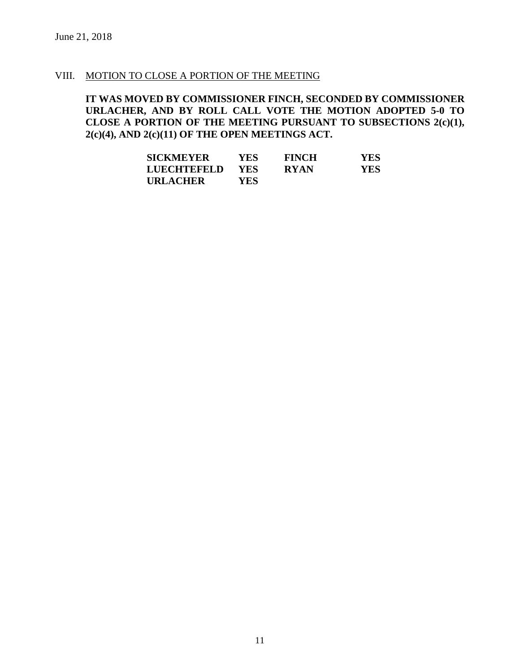### VIII. MOTION TO CLOSE A PORTION OF THE MEETING

**IT WAS MOVED BY COMMISSIONER FINCH, SECONDED BY COMMISSIONER URLACHER, AND BY ROLL CALL VOTE THE MOTION ADOPTED 5-0 TO CLOSE A PORTION OF THE MEETING PURSUANT TO SUBSECTIONS 2(c)(1), 2(c)(4), AND 2(c)(11) OF THE OPEN MEETINGS ACT.**

| <b>SICKMEYER</b>   | YES.       | <b>FINCH</b> | YES  |
|--------------------|------------|--------------|------|
| <b>LUECHTEFELD</b> | <b>YES</b> | <b>RYAN</b>  | YES. |
| <b>URLACHER</b>    | YES        |              |      |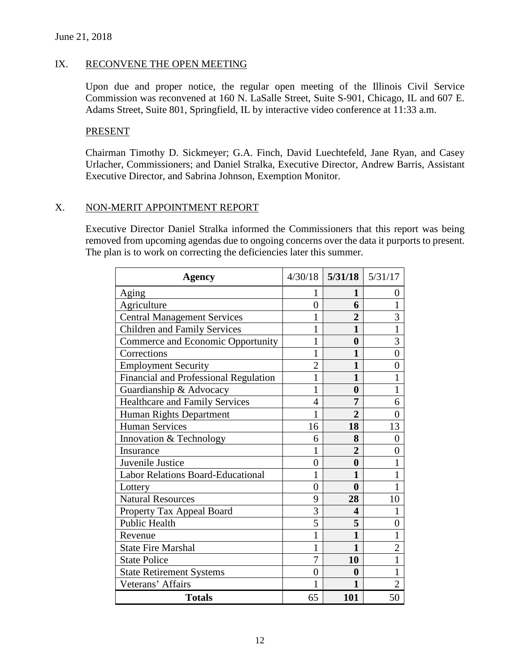# IX. RECONVENE THE OPEN MEETING

Upon due and proper notice, the regular open meeting of the Illinois Civil Service Commission was reconvened at 160 N. LaSalle Street, Suite S-901, Chicago, IL and 607 E. Adams Street, Suite 801, Springfield, IL by interactive video conference at 11:33 a.m.

### PRESENT

Chairman Timothy D. Sickmeyer; G.A. Finch, David Luechtefeld, Jane Ryan, and Casey Urlacher, Commissioners; and Daniel Stralka, Executive Director, Andrew Barris, Assistant Executive Director, and Sabrina Johnson, Exemption Monitor.

# X. NON-MERIT APPOINTMENT REPORT

Executive Director Daniel Stralka informed the Commissioners that this report was being removed from upcoming agendas due to ongoing concerns over the data it purports to present. The plan is to work on correcting the deficiencies later this summer.

| <b>Agency</b>                            |                | $4/30/18$ 5/31/18 5/31/17 |                |
|------------------------------------------|----------------|---------------------------|----------------|
| Aging                                    | I              | 1                         | 0              |
| Agriculture                              | $\overline{0}$ | 6                         | 1              |
| <b>Central Management Services</b>       | 1              | $\overline{2}$            | 3              |
| <b>Children and Family Services</b>      | 1              | 1                         | 1              |
| Commerce and Economic Opportunity        | 1              | $\boldsymbol{0}$          | 3              |
| Corrections                              | 1              | 1                         | $\overline{0}$ |
| <b>Employment Security</b>               | $\overline{2}$ | 1                         | 0              |
| Financial and Professional Regulation    | 1              | $\mathbf{1}$              | 1              |
| Guardianship & Advocacy                  | 1              | $\bf{0}$                  | 1              |
| <b>Healthcare and Family Services</b>    | $\overline{4}$ | 7                         | 6              |
| Human Rights Department                  | 1              | $\overline{2}$            | $\overline{0}$ |
| <b>Human Services</b>                    | 16             | 18                        | 13             |
| Innovation & Technology                  | 6              | 8                         | $\overline{0}$ |
| Insurance                                | 1              | $\overline{2}$            | $\overline{0}$ |
| Juvenile Justice                         | $\overline{0}$ | $\bf{0}$                  | 1              |
| <b>Labor Relations Board-Educational</b> | 1              | 1                         | 1              |
| Lottery                                  | $\overline{0}$ | $\bf{0}$                  | 1              |
| <b>Natural Resources</b>                 | 9              | 28                        | 10             |
| Property Tax Appeal Board                | 3              | 4                         |                |
| <b>Public Health</b>                     | 5              | 5                         | $\overline{0}$ |
| Revenue                                  | 1              | $\mathbf{1}$              | 1              |
| <b>State Fire Marshal</b>                | 1              | 1                         | $\overline{2}$ |
| <b>State Police</b>                      | 7              | 10                        | 1              |
| <b>State Retirement Systems</b>          | 0              | $\boldsymbol{0}$          | $\mathbf{1}$   |
| Veterans' Affairs                        | 1              | 1                         | $\overline{2}$ |
| <b>Totals</b>                            | 65             | 101                       | 50             |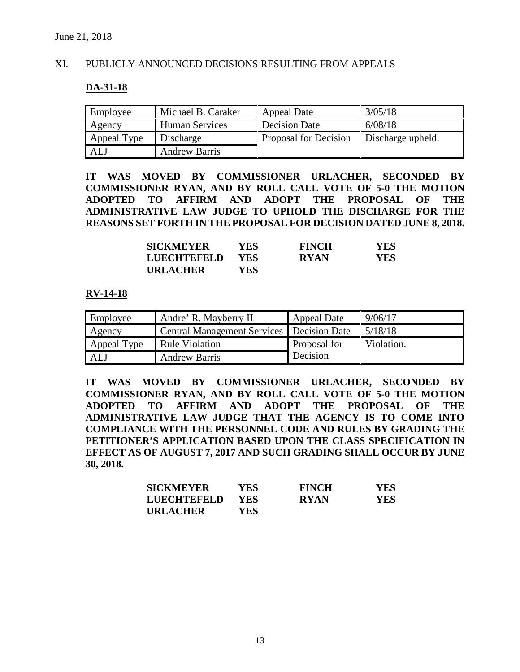# XI. PUBLICLY ANNOUNCED DECISIONS RESULTING FROM APPEALS

#### **DA-31-18**

| Employee    | Michael B. Caraker   | Appeal Date                  | 3/05/18           |
|-------------|----------------------|------------------------------|-------------------|
| Agency      | Human Services       | Decision Date                | 6/08/18           |
| Appeal Type | Discharge            | <b>Proposal for Decision</b> | Discharge upheld. |
| ALJ         | <b>Andrew Barris</b> |                              |                   |

**IT WAS MOVED BY COMMISSIONER URLACHER, SECONDED BY COMMISSIONER RYAN, AND BY ROLL CALL VOTE OF 5-0 THE MOTION ADOPTED TO AFFIRM AND ADOPT THE PROPOSAL OF THE ADMINISTRATIVE LAW JUDGE TO UPHOLD THE DISCHARGE FOR THE REASONS SET FORTH IN THE PROPOSAL FOR DECISION DATED JUNE 8, 2018.**

| <b>SICKMEYER</b>   | <b>YES</b> | <b>FINCH</b> | YES |
|--------------------|------------|--------------|-----|
| <b>LUECHTEFELD</b> | YES.       | <b>RYAN</b>  | YES |
| <b>URLACHER</b>    | YES.       |              |     |

### **RV-14-18**

| Employee    | Andre' R. Mayberry II                       | Appeal Date  | 9/06/17    |
|-------------|---------------------------------------------|--------------|------------|
| Agency      | Central Management Services   Decision Date |              | 5/18/18    |
| Appeal Type | Rule Violation                              | Proposal for | Violation. |
| <b>ALJ</b>  | <b>Andrew Barris</b>                        | Decision     |            |

**IT WAS MOVED BY COMMISSIONER URLACHER, SECONDED BY COMMISSIONER RYAN, AND BY ROLL CALL VOTE OF 5-0 THE MOTION ADOPTED TO AFFIRM AND ADOPT THE PROPOSAL OF THE ADMINISTRATIVE LAW JUDGE THAT THE AGENCY IS TO COME INTO COMPLIANCE WITH THE PERSONNEL CODE AND RULES BY GRADING THE PETITIONER'S APPLICATION BASED UPON THE CLASS SPECIFICATION IN EFFECT AS OF AUGUST 7, 2017 AND SUCH GRADING SHALL OCCUR BY JUNE 30, 2018.**

| <b>SICKMEYER</b>   | YES-       | <b>FINCH</b> | <b>YES</b> |
|--------------------|------------|--------------|------------|
| <b>LUECHTEFELD</b> | <b>YES</b> | <b>RYAN</b>  | YES        |
| <b>URLACHER</b>    | YES.       |              |            |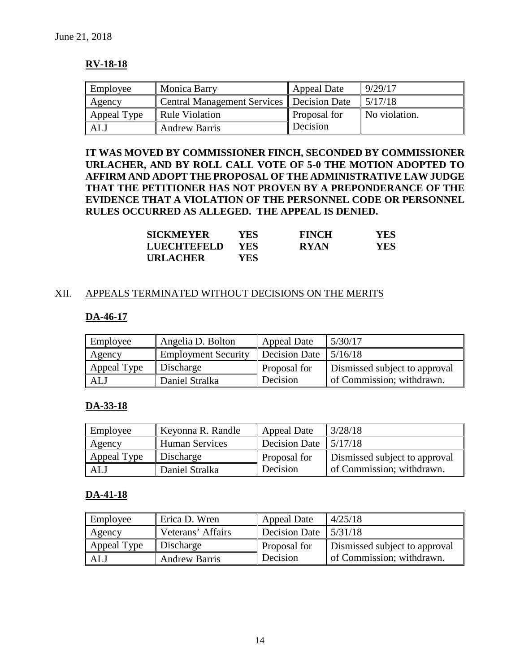# **RV-18-18**

| Employee    | Monica Barry                                | <b>Appeal Date</b> | 9/29/17       |
|-------------|---------------------------------------------|--------------------|---------------|
| Agency      | Central Management Services   Decision Date |                    | 5/17/18       |
| Appeal Type | Rule Violation                              | Proposal for       | No violation. |
| ALJ         | <b>Andrew Barris</b>                        | Decision           |               |

**IT WAS MOVED BY COMMISSIONER FINCH, SECONDED BY COMMISSIONER URLACHER, AND BY ROLL CALL VOTE OF 5-0 THE MOTION ADOPTED TO AFFIRM AND ADOPT THE PROPOSAL OF THE ADMINISTRATIVE LAW JUDGE THAT THE PETITIONER HAS NOT PROVEN BY A PREPONDERANCE OF THE EVIDENCE THAT A VIOLATION OF THE PERSONNEL CODE OR PERSONNEL RULES OCCURRED AS ALLEGED. THE APPEAL IS DENIED.**

| <b>SICKMEYER</b> | YES- | <b>FINCH</b> | YES        |
|------------------|------|--------------|------------|
| LUECHTEFELD      | YES. | <b>RYAN</b>  | <b>YES</b> |
| <b>URLACHER</b>  | YES. |              |            |

### XII. APPEALS TERMINATED WITHOUT DECISIONS ON THE MERITS

# **DA-46-17**

| Employee    | Angelia D. Bolton          | Appeal Date   | 5/30/17                       |
|-------------|----------------------------|---------------|-------------------------------|
| Agency      | <b>Employment Security</b> | Decision Date | 5/16/18                       |
| Appeal Type | Discharge                  | Proposal for  | Dismissed subject to approval |
| ALJ         | Daniel Stralka             | Decision      | of Commission; withdrawn.     |

# **DA-33-18**

| Employee    | Keyonna R. Randle     | <b>Appeal Date</b>              | 3/28/18                       |
|-------------|-----------------------|---------------------------------|-------------------------------|
| Agency      | <b>Human Services</b> | Decision Date $\frac{5}{17/18}$ |                               |
| Appeal Type | Discharge             | Proposal for                    | Dismissed subject to approval |
| <b>ALJ</b>  | Daniel Stralka        | Decision                        | of Commission; withdrawn.     |

### **DA-41-18**

| Employee    | Erica D. Wren        | Appeal Date                     | 4/25/18                       |
|-------------|----------------------|---------------------------------|-------------------------------|
| Agency      | Veterans' Affairs    | Decision Date $\frac{5}{31/18}$ |                               |
| Appeal Type | Discharge            | Proposal for                    | Dismissed subject to approval |
| ALJ         | <b>Andrew Barris</b> | Decision                        | of Commission; withdrawn.     |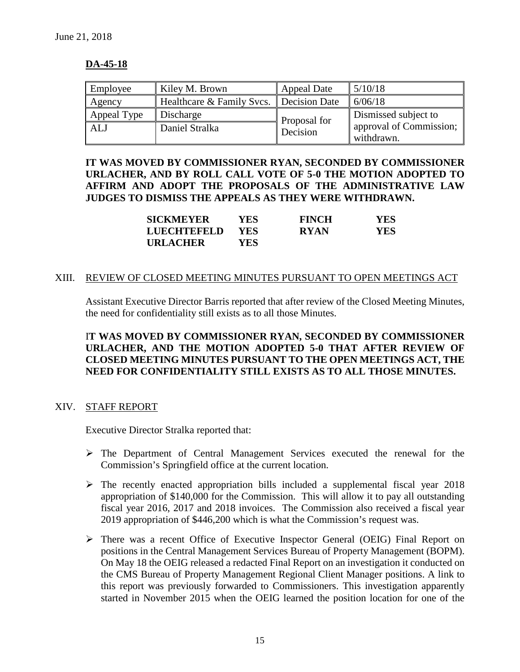# **DA-45-18**

| Employee    | Kiley M. Brown            | Appeal Date   | 5/10/18                               |
|-------------|---------------------------|---------------|---------------------------------------|
| Agency      | Healthcare & Family Svcs. | Decision Date | 6/06/18                               |
| Appeal Type | Discharge                 | Proposal for  | Dismissed subject to                  |
| <b>ALJ</b>  | Daniel Stralka            | Decision      | approval of Commission;<br>withdrawn. |

**IT WAS MOVED BY COMMISSIONER RYAN, SECONDED BY COMMISSIONER URLACHER, AND BY ROLL CALL VOTE OF 5-0 THE MOTION ADOPTED TO AFFIRM AND ADOPT THE PROPOSALS OF THE ADMINISTRATIVE LAW JUDGES TO DISMISS THE APPEALS AS THEY WERE WITHDRAWN.**

| <b>SICKMEYER</b> | YES-       | <b>FINCH</b> | <b>YES</b> |
|------------------|------------|--------------|------------|
| LUECHTEFELD      | <b>YES</b> | <b>RYAN</b>  | <b>YES</b> |
| <b>URLACHER</b>  | YES.       |              |            |

### XIII. REVIEW OF CLOSED MEETING MINUTES PURSUANT TO OPEN MEETINGS ACT

Assistant Executive Director Barris reported that after review of the Closed Meeting Minutes, the need for confidentiality still exists as to all those Minutes.

# I**T WAS MOVED BY COMMISSIONER RYAN, SECONDED BY COMMISSIONER URLACHER, AND THE MOTION ADOPTED 5-0 THAT AFTER REVIEW OF CLOSED MEETING MINUTES PURSUANT TO THE OPEN MEETINGS ACT, THE NEED FOR CONFIDENTIALITY STILL EXISTS AS TO ALL THOSE MINUTES.**

# XIV. STAFF REPORT

Executive Director Stralka reported that:

- The Department of Central Management Services executed the renewal for the Commission's Springfield office at the current location.
- $\triangleright$  The recently enacted appropriation bills included a supplemental fiscal year 2018 appropriation of \$140,000 for the Commission. This will allow it to pay all outstanding fiscal year 2016, 2017 and 2018 invoices. The Commission also received a fiscal year 2019 appropriation of \$446,200 which is what the Commission's request was.
- $\triangleright$  There was a recent Office of Executive Inspector General (OEIG) Final Report on positions in the Central Management Services Bureau of Property Management (BOPM). On May 18 the OEIG released a redacted Final Report on an investigation it conducted on the CMS Bureau of Property Management Regional Client Manager positions. A link to this report was previously forwarded to Commissioners. This investigation apparently started in November 2015 when the OEIG learned the position location for one of the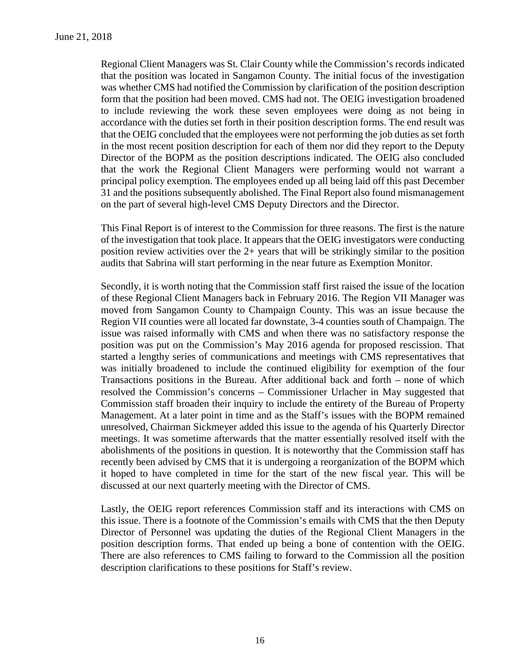Regional Client Managers was St. Clair County while the Commission's records indicated that the position was located in Sangamon County. The initial focus of the investigation was whether CMS had notified the Commission by clarification of the position description form that the position had been moved. CMS had not. The OEIG investigation broadened to include reviewing the work these seven employees were doing as not being in accordance with the duties set forth in their position description forms. The end result was that the OEIG concluded that the employees were not performing the job duties as set forth in the most recent position description for each of them nor did they report to the Deputy Director of the BOPM as the position descriptions indicated. The OEIG also concluded that the work the Regional Client Managers were performing would not warrant a principal policy exemption. The employees ended up all being laid off this past December 31 and the positions subsequently abolished. The Final Report also found mismanagement on the part of several high-level CMS Deputy Directors and the Director.

This Final Report is of interest to the Commission for three reasons. The first is the nature of the investigation that took place. It appears that the OEIG investigators were conducting position review activities over the 2+ years that will be strikingly similar to the position audits that Sabrina will start performing in the near future as Exemption Monitor.

Secondly, it is worth noting that the Commission staff first raised the issue of the location of these Regional Client Managers back in February 2016. The Region VII Manager was moved from Sangamon County to Champaign County. This was an issue because the Region VII counties were all located far downstate, 3-4 counties south of Champaign. The issue was raised informally with CMS and when there was no satisfactory response the position was put on the Commission's May 2016 agenda for proposed rescission. That started a lengthy series of communications and meetings with CMS representatives that was initially broadened to include the continued eligibility for exemption of the four Transactions positions in the Bureau. After additional back and forth – none of which resolved the Commission's concerns – Commissioner Urlacher in May suggested that Commission staff broaden their inquiry to include the entirety of the Bureau of Property Management. At a later point in time and as the Staff's issues with the BOPM remained unresolved, Chairman Sickmeyer added this issue to the agenda of his Quarterly Director meetings. It was sometime afterwards that the matter essentially resolved itself with the abolishments of the positions in question. It is noteworthy that the Commission staff has recently been advised by CMS that it is undergoing a reorganization of the BOPM which it hoped to have completed in time for the start of the new fiscal year. This will be discussed at our next quarterly meeting with the Director of CMS.

Lastly, the OEIG report references Commission staff and its interactions with CMS on this issue. There is a footnote of the Commission's emails with CMS that the then Deputy Director of Personnel was updating the duties of the Regional Client Managers in the position description forms. That ended up being a bone of contention with the OEIG. There are also references to CMS failing to forward to the Commission all the position description clarifications to these positions for Staff's review.